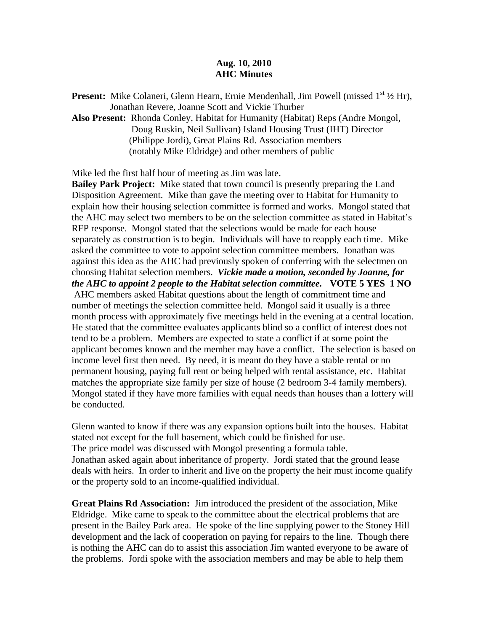## **Aug. 10, 2010 AHC Minutes**

**Present:** Mike Colaneri, Glenn Hearn, Ernie Mendenhall, Jim Powell (missed 1<sup>st 1</sup>/2 Hr), Jonathan Revere, Joanne Scott and Vickie Thurber

**Also Present:** Rhonda Conley, Habitat for Humanity (Habitat) Reps (Andre Mongol, Doug Ruskin, Neil Sullivan) Island Housing Trust (IHT) Director (Philippe Jordi), Great Plains Rd. Association members (notably Mike Eldridge) and other members of public

Mike led the first half hour of meeting as Jim was late.

**Bailey Park Project:** Mike stated that town council is presently preparing the Land Disposition Agreement. Mike than gave the meeting over to Habitat for Humanity to explain how their housing selection committee is formed and works. Mongol stated that the AHC may select two members to be on the selection committee as stated in Habitat's RFP response. Mongol stated that the selections would be made for each house separately as construction is to begin. Individuals will have to reapply each time. Mike asked the committee to vote to appoint selection committee members. Jonathan was against this idea as the AHC had previously spoken of conferring with the selectmen on choosing Habitat selection members. *Vickie made a motion, seconded by Joanne, for the AHC to appoint 2 people to the Habitat selection committee.* **VOTE 5 YES 1 NO**  AHC members asked Habitat questions about the length of commitment time and number of meetings the selection committee held. Mongol said it usually is a three month process with approximately five meetings held in the evening at a central location. He stated that the committee evaluates applicants blind so a conflict of interest does not tend to be a problem. Members are expected to state a conflict if at some point the applicant becomes known and the member may have a conflict. The selection is based on income level first then need. By need, it is meant do they have a stable rental or no permanent housing, paying full rent or being helped with rental assistance, etc. Habitat matches the appropriate size family per size of house (2 bedroom 3-4 family members). Mongol stated if they have more families with equal needs than houses than a lottery will be conducted.

Glenn wanted to know if there was any expansion options built into the houses. Habitat stated not except for the full basement, which could be finished for use. The price model was discussed with Mongol presenting a formula table. Jonathan asked again about inheritance of property. Jordi stated that the ground lease deals with heirs. In order to inherit and live on the property the heir must income qualify or the property sold to an income-qualified individual.

**Great Plains Rd Association:** Jim introduced the president of the association, Mike Eldridge. Mike came to speak to the committee about the electrical problems that are present in the Bailey Park area. He spoke of the line supplying power to the Stoney Hill development and the lack of cooperation on paying for repairs to the line. Though there is nothing the AHC can do to assist this association Jim wanted everyone to be aware of the problems. Jordi spoke with the association members and may be able to help them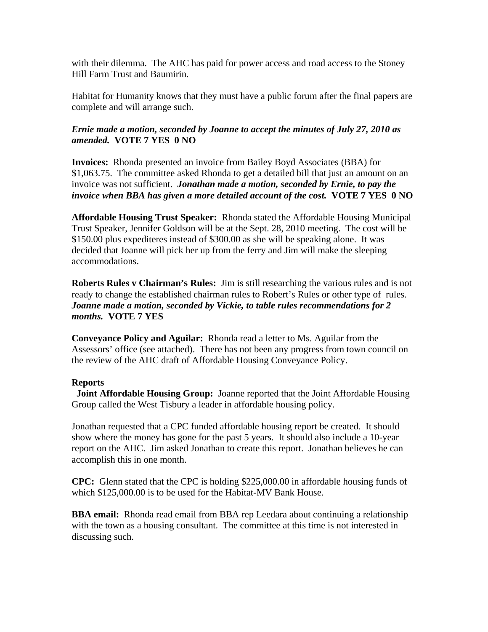with their dilemma. The AHC has paid for power access and road access to the Stoney Hill Farm Trust and Baumirin.

Habitat for Humanity knows that they must have a public forum after the final papers are complete and will arrange such.

## *Ernie made a motion, seconded by Joanne to accept the minutes of July 27, 2010 as amended.* **VOTE 7 YES 0 NO**

**Invoices:** Rhonda presented an invoice from Bailey Boyd Associates (BBA) for \$1,063.75. The committee asked Rhonda to get a detailed bill that just an amount on an invoice was not sufficient. *Jonathan made a motion, seconded by Ernie, to pay the invoice when BBA has given a more detailed account of the cost.* **VOTE 7 YES 0 NO** 

**Affordable Housing Trust Speaker:** Rhonda stated the Affordable Housing Municipal Trust Speaker, Jennifer Goldson will be at the Sept. 28, 2010 meeting. The cost will be \$150.00 plus expediteres instead of \$300.00 as she will be speaking alone. It was decided that Joanne will pick her up from the ferry and Jim will make the sleeping accommodations.

**Roberts Rules v Chairman's Rules:** Jim is still researching the various rules and is not ready to change the established chairman rules to Robert's Rules or other type of rules. *Joanne made a motion, seconded by Vickie, to table rules recommendations for 2 months.* **VOTE 7 YES** 

**Conveyance Policy and Aguilar:** Rhonda read a letter to Ms. Aguilar from the Assessors' office (see attached). There has not been any progress from town council on the review of the AHC draft of Affordable Housing Conveyance Policy.

## **Reports**

 **Joint Affordable Housing Group:** Joanne reported that the Joint Affordable Housing Group called the West Tisbury a leader in affordable housing policy.

Jonathan requested that a CPC funded affordable housing report be created. It should show where the money has gone for the past 5 years. It should also include a 10-year report on the AHC. Jim asked Jonathan to create this report. Jonathan believes he can accomplish this in one month.

**CPC:** Glenn stated that the CPC is holding \$225,000.00 in affordable housing funds of which \$125,000,00 is to be used for the Habitat-MV Bank House.

**BBA email:** Rhonda read email from BBA rep Leedara about continuing a relationship with the town as a housing consultant. The committee at this time is not interested in discussing such.